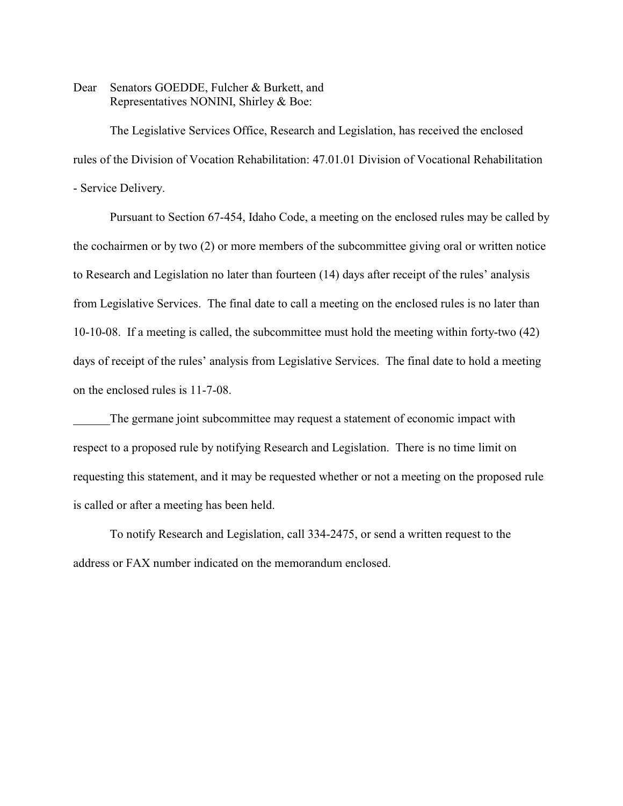Dear Senators GOEDDE, Fulcher & Burkett, and Representatives NONINI, Shirley & Boe:

The Legislative Services Office, Research and Legislation, has received the enclosed rules of the Division of Vocation Rehabilitation: 47.01.01 Division of Vocational Rehabilitation - Service Delivery.

Pursuant to Section 67-454, Idaho Code, a meeting on the enclosed rules may be called by the cochairmen or by two (2) or more members of the subcommittee giving oral or written notice to Research and Legislation no later than fourteen (14) days after receipt of the rules' analysis from Legislative Services. The final date to call a meeting on the enclosed rules is no later than 10-10-08. If a meeting is called, the subcommittee must hold the meeting within forty-two (42) days of receipt of the rules' analysis from Legislative Services. The final date to hold a meeting on the enclosed rules is 11-7-08.

The germane joint subcommittee may request a statement of economic impact with respect to a proposed rule by notifying Research and Legislation. There is no time limit on requesting this statement, and it may be requested whether or not a meeting on the proposed rule is called or after a meeting has been held.

To notify Research and Legislation, call 334-2475, or send a written request to the address or FAX number indicated on the memorandum enclosed.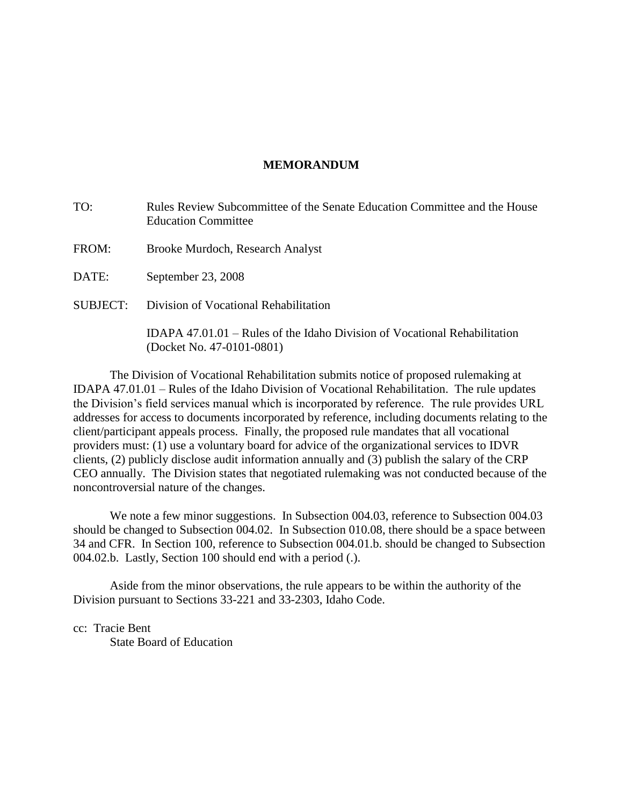# **MEMORANDUM**

| TO:      | Rules Review Subcommittee of the Senate Education Committee and the House<br><b>Education Committee</b> |  |
|----------|---------------------------------------------------------------------------------------------------------|--|
| FROM:    | Brooke Murdoch, Research Analyst                                                                        |  |
| DATE:    | September 23, 2008                                                                                      |  |
| SUBJECT: | Division of Vocational Rehabilitation                                                                   |  |
|          | IDAPA 47.01.01 – Rules of the Idaho Division of Vocational Rehabilitation<br>(Docket No. 47-0101-0801)  |  |

The Division of Vocational Rehabilitation submits notice of proposed rulemaking at IDAPA 47.01.01 – Rules of the Idaho Division of Vocational Rehabilitation. The rule updates the Division's field services manual which is incorporated by reference. The rule provides URL addresses for access to documents incorporated by reference, including documents relating to the client/participant appeals process. Finally, the proposed rule mandates that all vocational providers must: (1) use a voluntary board for advice of the organizational services to IDVR clients, (2) publicly disclose audit information annually and (3) publish the salary of the CRP CEO annually. The Division states that negotiated rulemaking was not conducted because of the noncontroversial nature of the changes.

We note a few minor suggestions. In Subsection 004.03, reference to Subsection 004.03 should be changed to Subsection 004.02. In Subsection 010.08, there should be a space between 34 and CFR. In Section 100, reference to Subsection 004.01.b. should be changed to Subsection 004.02.b. Lastly, Section 100 should end with a period (.).

Aside from the minor observations, the rule appears to be within the authority of the Division pursuant to Sections 33-221 and 33-2303, Idaho Code.

cc: Tracie Bent

State Board of Education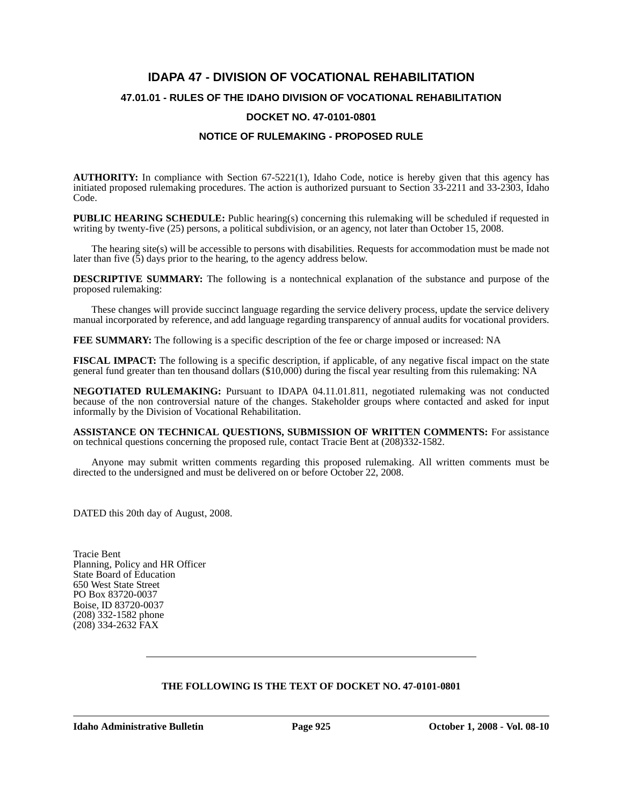# **IDAPA 47 - DIVISION OF VOCATIONAL REHABILITATION 47.01.01 - RULES OF THE IDAHO DIVISION OF VOCATIONAL REHABILITATION DOCKET NO. 47-0101-0801**

## **NOTICE OF RULEMAKING - PROPOSED RULE**

**AUTHORITY:** In compliance with Section 67-5221(1), Idaho Code, notice is hereby given that this agency has initiated proposed rulemaking procedures. The action is authorized pursuant to Section 33-2211 and 33-2303, Idaho Code.

**PUBLIC HEARING SCHEDULE:** Public hearing(s) concerning this rulemaking will be scheduled if requested in writing by twenty-five (25) persons, a political subdivision, or an agency, not later than October 15, 2008.

The hearing site(s) will be accessible to persons with disabilities. Requests for accommodation must be made not later than five  $(5)$  days prior to the hearing, to the agency address below.

**DESCRIPTIVE SUMMARY:** The following is a nontechnical explanation of the substance and purpose of the proposed rulemaking:

These changes will provide succinct language regarding the service delivery process, update the service delivery manual incorporated by reference, and add language regarding transparency of annual audits for vocational providers.

**FEE SUMMARY:** The following is a specific description of the fee or charge imposed or increased: NA

**FISCAL IMPACT:** The following is a specific description, if applicable, of any negative fiscal impact on the state general fund greater than ten thousand dollars (\$10,000) during the fiscal year resulting from this rulemaking: NA

**NEGOTIATED RULEMAKING:** Pursuant to IDAPA 04.11.01.811, negotiated rulemaking was not conducted because of the non controversial nature of the changes. Stakeholder groups where contacted and asked for input informally by the Division of Vocational Rehabilitation.

**ASSISTANCE ON TECHNICAL QUESTIONS, SUBMISSION OF WRITTEN COMMENTS:** For assistance on technical questions concerning the proposed rule, contact Tracie Bent at (208)332-1582.

Anyone may submit written comments regarding this proposed rulemaking. All written comments must be directed to the undersigned and must be delivered on or before October 22, 2008.

DATED this 20th day of August, 2008.

Tracie Bent Planning, Policy and HR Officer State Board of Education 650 West State Street PO Box 83720-0037 Boise, ID 83720-0037 (208) 332-1582 phone (208) 334-2632 FAX

## **THE FOLLOWING IS THE TEXT OF DOCKET NO. 47-0101-0801**

**Idaho Administrative Bulletin Page 925 October 1, 2008 - Vol. 08-10**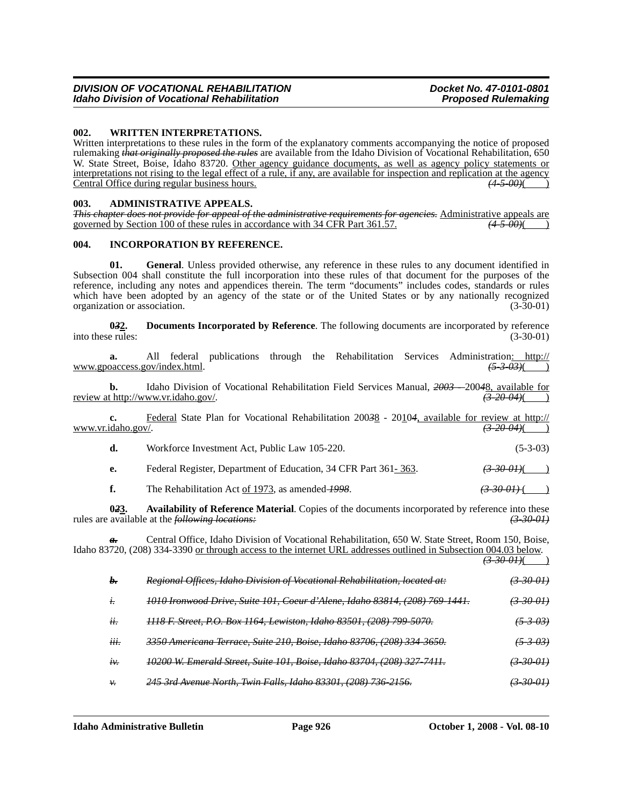### **002. WRITTEN INTERPRETATIONS.**

Written interpretations to these rules in the form of the explanatory comments accompanying the notice of proposed rulemaking *that originally proposed the rules* are available from the Idaho Division of Vocational Rehabilitation, 650 W. State Street, Boise, Idaho 83720. Other agency guidance documents, as well as agency policy statements or interpretations not rising to the legal effect of a rule, if any, are available for inspection and replication at the agency<br>Central Office during regular business hours. Central Office during regular business hours.

#### **003. ADMINISTRATIVE APPEALS.**

|  |                                                                               | This chapter does not provide for appeal of the administrative requirements for agencies. Administrative appeals are |
|--|-------------------------------------------------------------------------------|----------------------------------------------------------------------------------------------------------------------|
|  |                                                                               |                                                                                                                      |
|  | governed by Section 100 of these rules in accordance with 34 CFR Part 361.57. | <del>(4 5 00)</del> (                                                                                                |

#### **004. INCORPORATION BY REFERENCE.**

**01. General**. Unless provided otherwise, any reference in these rules to any document identified in Subsection 004 shall constitute the full incorporation into these rules of that document for the purposes of the reference, including any notes and appendices therein. The term "documents" includes codes, standards or rules which have been adopted by an agency of the state or of the United States or by any nationally recognized organization or association. (3-30-01)

**032.** Documents Incorporated by Reference. The following documents are incorporated by reference e rules: (3-30-01) into these rules:

**a.** All federal publications through the Rehabilitation Services Administration<u>: http://</u><br>oaccess.gov/index.html. (5-3-03)(1) www.gpoaccess.gov/index.html. *(5-3-03)*( )

**b.** Idaho Division of Vocational Rehabilitation Field Services Manual,  $\frac{2003 - 20048}{(3-20.04)(}$  ( $\frac{3-20.04}{(}$ ) review at http://www.vr.idaho.gov/.

**c.** Federal State Plan for Vocational Rehabilitation 200<del>3</del>8 - 20104, available for review at http://<br>idaho.gov/.  $\left( \frac{3-20-04}{2} \right)$ www.vr.idaho.gov/.

| d. | Workforce Investment Act, Public Law 105-220.                   | $(5-3-03)$               |
|----|-----------------------------------------------------------------|--------------------------|
| e. | Federal Register, Department of Education, 34 CFR Part 361-363. | $\left(3,30,01\right)$ ( |

**f.** The Rehabilitation Act of 1973, as amended 1998.  $\left(3-30-01\right)$ 

**023.** Availability of Reference Material. Copies of the documents incorporated by reference into these available at the *following locations:* (3-30-01) rules are available at the *following locations:* 

*a.* Central Office, Idaho Division of Vocational Rehabilitation, 650 W. State Street, Room 150, Boise, Idaho 83720, (208) 334-3390 or through access to the internet URL addresses outlined in Subsection 004.03 below.

|                  |                                                                             | $\left(3,30,01\right)$ (   |
|------------------|-----------------------------------------------------------------------------|----------------------------|
| b.               | Regional Offices, Idaho Division of Vocational Rehabilitation, located at:  | $\left(3-30-01\right)$     |
| t.               | 1010 Ironwood Drive, Suite 101, Coeur d'Alene, Idaho 83814, (208) 769-1441. | $\left(3 - 30 - 01\right)$ |
| ii.              | 1118 F. Street, P.O. Box 1164, Lewiston, Idaho 83501, (208) 799-5070.       | (5303)                     |
| $\cdots$<br>iii. | 3350 Americana Terrace, Suite 210, Boise, Idaho 83706, (208) 334-3650.      | <del>(5-3-03)</del>        |
| $t\mathcal{V}$ . | 10200 W. Emerald Street, Suite 101, Boise, Idaho 83704, (208) 327-7411.     | $\left(3-30-01\right)$     |
| ν.               | 245 3rd Avenue North, Twin Falls, Idaho 83301, (208) 736 2156.              | <del>(3 30 01)</del>       |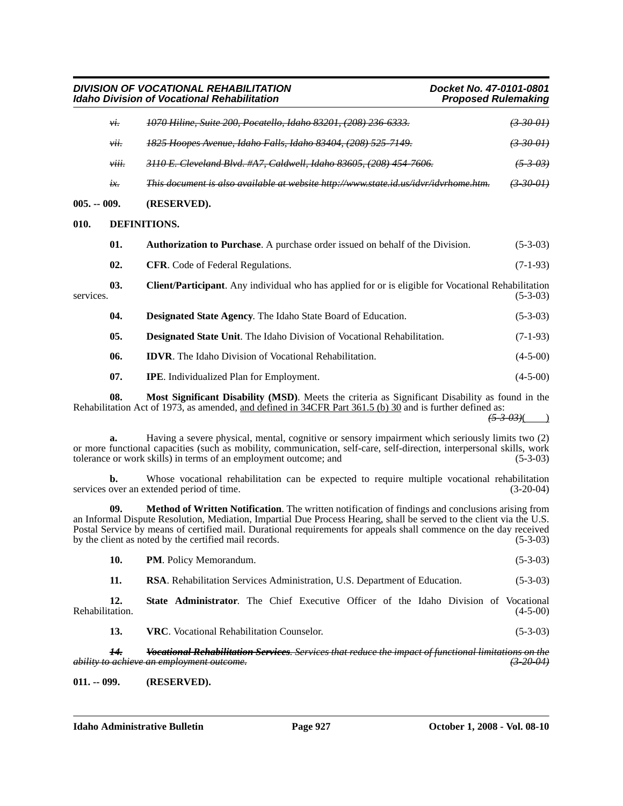*DIVISION OF VOCATIONAL REHABILITATION Docket No. 47-0101-0801 Idaho Division of Vocational Rehabilitation* 

|               | vi.           | 1070 Hiline, Suite 200, Pocatello, Idaho 83201, (208) 236-6333.                                            |                      |
|---------------|---------------|------------------------------------------------------------------------------------------------------------|----------------------|
|               | vii.          | 1825 Hoopes Avenue, Idaho Falls, Idaho 83404, (208) 525-7149.                                              | <del>(3-30-01)</del> |
|               | viii.         | 3110 E. Cleveland Blvd. #A7, Caldwell, Idaho 83605, (208) 454 7606.                                        | <del>(5 3 03)</del>  |
|               | $i\mathbf{x}$ | This document is also available at website http://www.state.id.us/idvr/idvrhome.htm.                       | <del>30-01)</del>    |
| $005. - 009.$ |               | (RESERVED).                                                                                                |                      |
| 010.          |               | DEFINITIONS.                                                                                               |                      |
|               | 01.           | Authorization to Purchase. A purchase order issued on behalf of the Division.                              | $(5-3-03)$           |
|               | 02.           | <b>CFR.</b> Code of Federal Regulations.                                                                   | $(7-1-93)$           |
| services.     | 03.           | <b>Client/Participant.</b> Any individual who has applied for or is eligible for Vocational Rehabilitation | $(5-3-03)$           |
|               | 04.           | <b>Designated State Agency.</b> The Idaho State Board of Education.                                        | $(5-3-03)$           |
|               | 05.           | Designated State Unit. The Idaho Division of Vocational Rehabilitation.                                    | $(7-1-93)$           |
|               | 06.           | <b>IDVR.</b> The Idaho Division of Vocational Rehabilitation.                                              | $(4-5-00)$           |
|               | 07.           | <b>IPE.</b> Individualized Plan for Employment.                                                            | $(4-5-00)$           |
|               |               |                                                                                                            |                      |

**08. Most Significant Disability (MSD)**. Meets the criteria as Significant Disability as found in the Rehabilitation Act of 1973, as amended, and defined in 34CFR Part 361.5 (b) 30 and is further defined as:

 $(5 - 3 - 03)$ 

**a.** Having a severe physical, mental, cognitive or sensory impairment which seriously limits two (2) or more functional capacities (such as mobility, communication, self-care, self-direction, interpersonal skills, work tolerance or work skills) in terms of an employment outcome; and (5-3-03) tolerance or work skills) in terms of an employment outcome; and

**b.** Whose vocational rehabilitation can be expected to require multiple vocational rehabilitation over an extended period of time. (3-20-04) services over an extended period of time.

**09. Method of Written Notification**. The written notification of findings and conclusions arising from an Informal Dispute Resolution, Mediation, Impartial Due Process Hearing, shall be served to the client via the U.S. Postal Service by means of certified mail. Durational requirements for appeals shall commence on the day received by the client as noted by the certified mail records. (5-3-03)

| <b>10.</b> | <b>PM.</b> Policy Memorandum. | $(5-3-03)$ |
|------------|-------------------------------|------------|
|------------|-------------------------------|------------|

**11. RSA**. Rehabilitation Services Administration, U.S. Department of Education. (5-3-03)

**12. State Administrator**. The Chief Executive Officer of the Idaho Division of Vocational (4-5-00) Rehabilitation.

**13. VRC**. Vocational Rehabilitation Counselor. (5-3-03)

*14. Vocational Rehabilitation Services. Services that reduce the impact of functional limitations on the ability to achieve an employment outcome. (3-20-04)*

**011. -- 099. (RESERVED).**

**Idaho Administrative Bulletin Page 927 October 1, 2008 - Vol. 08-10**